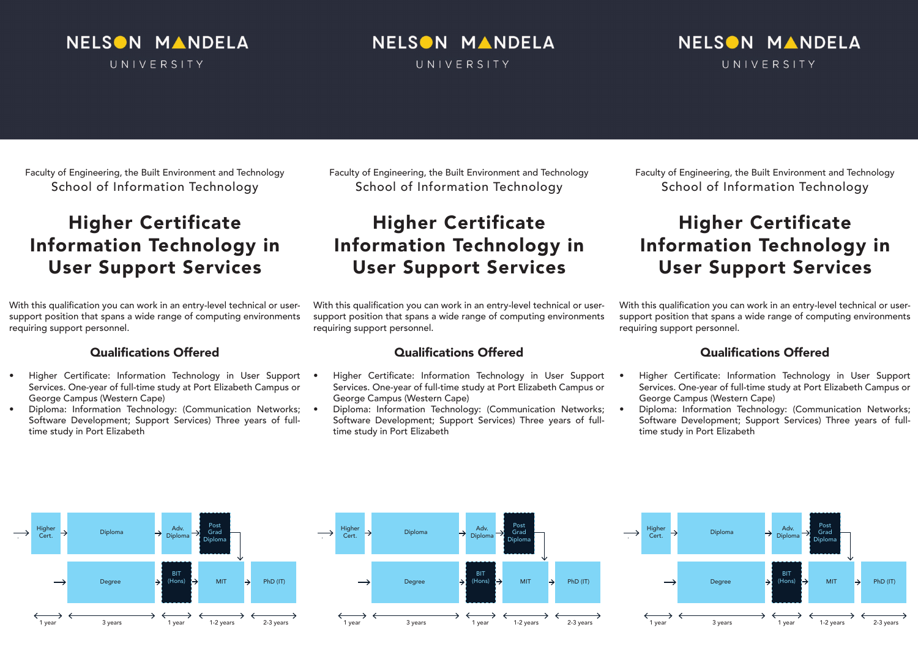### NELSON MANDELA UNIVERSITY

# NELSON MANDELA

UNIVERSITY

### NELSON MANDELA UNIVERSITY

Faculty of Engineering, the Built Environment and Technology School of Information Technology

### Higher Certificate Information Technology in User Support Services

With this qualification you can work in an entry-level technical or usersupport position that spans a wide range of computing environments requiring support personnel.

#### Qualifications Offered

- Higher Certificate: Information Technology in User Support . Services. One-year of full-time study at Port Elizabeth Campus or George Campus (Western Cape)
- Diploma: Information Technology: (Communication Networks; Software Development; Support Services) Three years of fulltime study in Port Elizabeth

Faculty of Engineering, the Built Environment and Technology School of Information Technology

# Higher Certificate Information Technology in User Support Services

With this qualification you can work in an entry-level technical or usersupport position that spans a wide range of computing environments requiring support personnel.

#### Qualifications Offered

- Higher Certificate: Information Technology in User Support Services. One-year of full-time study at Port Elizabeth Campus or George Campus (Western Cape)
- Diploma: Information Technology: (Communication Networks; Software Development; Support Services) Three years of fulltime study in Port Elizabeth

Faculty of Engineering, the Built Environment and Technology School of Information Technology

# Higher Certificate Information Technology in User Support Services

With this qualification you can work in an entry-level technical or usersupport position that spans a wide range of computing environments requiring support personnel.

#### Qualifications Offered

- Higher Certificate: Information Technology in User Support Services. One-year of full-time study at Port Elizabeth Campus or George Campus (Western Cape)
- Diploma: Information Technology: (Communication Networks; Software Development; Support Services) Three years of fulltime study in Port Elizabeth